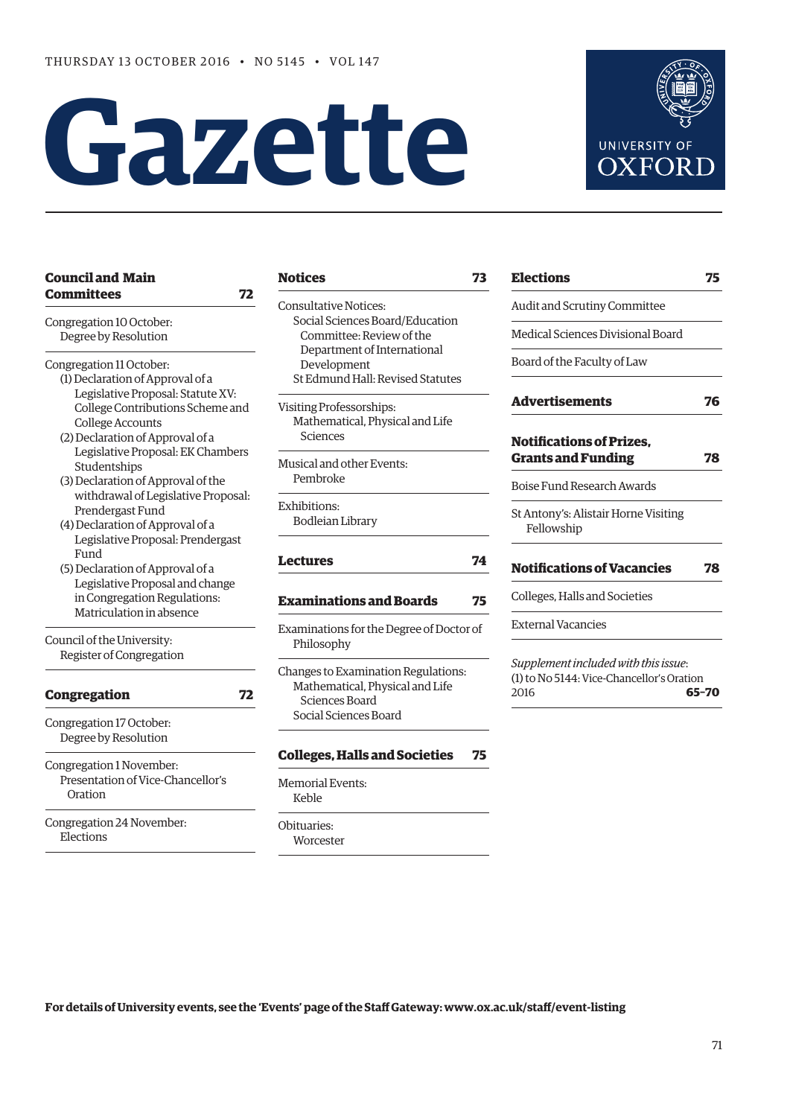# **Gazette**



| <b>Council and Main</b>             |                 |
|-------------------------------------|-----------------|
| <b>Committees</b>                   | 72              |
| Congregation 10 October:            | Con<br>S        |
| Degree by Resolution                |                 |
| Congregation 11 October:            |                 |
| (1) Declaration of Approval of a    | S               |
| Legislative Proposal: Statute XV:   |                 |
| College Contributions Scheme and    | Visi            |
| <b>College Accounts</b>             | N               |
| (2) Declaration of Approval of a    |                 |
| Legislative Proposal: EK Chambers   |                 |
| Studentships                        | Mus             |
| (3) Declaration of Approval of the  | F               |
| withdrawal of Legislative Proposal: | Exh             |
| Prendergast Fund                    | F               |
| (4) Declaration of Approval of a    |                 |
| Legislative Proposal: Prendergast   |                 |
| Fund                                | Lec             |
| (5) Declaration of Approval of a    |                 |
| Legislative Proposal and change     |                 |
| in Congregation Regulations:        | Ex:             |
| Matriculation in absence            |                 |
| Council of the University:          | <b>Exa</b><br>F |
| Register of Congregation            |                 |
|                                     | Cha             |
| <b>Congregation</b>                 | ľ<br>72         |
| Congregation 17 October:            | S               |
| Degree by Resolution                |                 |
|                                     | Col             |
| Congregation 1 November:            |                 |
| Presentation of Vice-Chancellor's   | Mer             |
| Oration                             | ŀ               |
| Congregation 24 November:           | Obit            |
| Elections                           | V               |
|                                     |                 |

sultative Notices: Social Sciences Board/Education Committee: Review of the Department of International Development St Edmund Hall: Revised Statutes

ting Professorships: Mathematical, Physical and Life Sciences

sical and other Events: Pembroke

ibitions: Bodleian Library

### **[Lectures](#page-3-0) 74**

### **[Examinations and Boards](#page-4-0) 75**

minations for the Degree of Doctor of Philosophy

nges to Examination Regulations: Mathematical, Physical and Life Sciences Board Social Sciences Board

### **[Colleges, Halls and Societies](#page-4-0) 75**

norial Events: Keble

tuaries: **Norcester** 

| <b>Elections</b>                                             | 75 |
|--------------------------------------------------------------|----|
| Audit and Scrutiny Committee                                 |    |
| Medical Sciences Divisional Board                            |    |
| Board of the Faculty of Law                                  |    |
| <b>Advertisements</b>                                        | 76 |
| <b>Notifications of Prizes.</b><br><b>Grants and Funding</b> | 78 |
| <b>Boise Fund Research Awards</b>                            |    |
| St Antony's: Alistair Horne Visiting<br>Fellowship           |    |
|                                                              |    |
| <b>Notifications of Vacancies</b>                            | 78 |

External Vacancies

*Supplement included with this issue*: (1) to No 5144: Vice-Chancellor's Oration 2016 **65–70**

**For details of University events, see the 'Events' page of the Staff Gateway: [www.ox.ac.uk/staff/event-listing](http://www.ox.ac.uk/staff/event-listing)**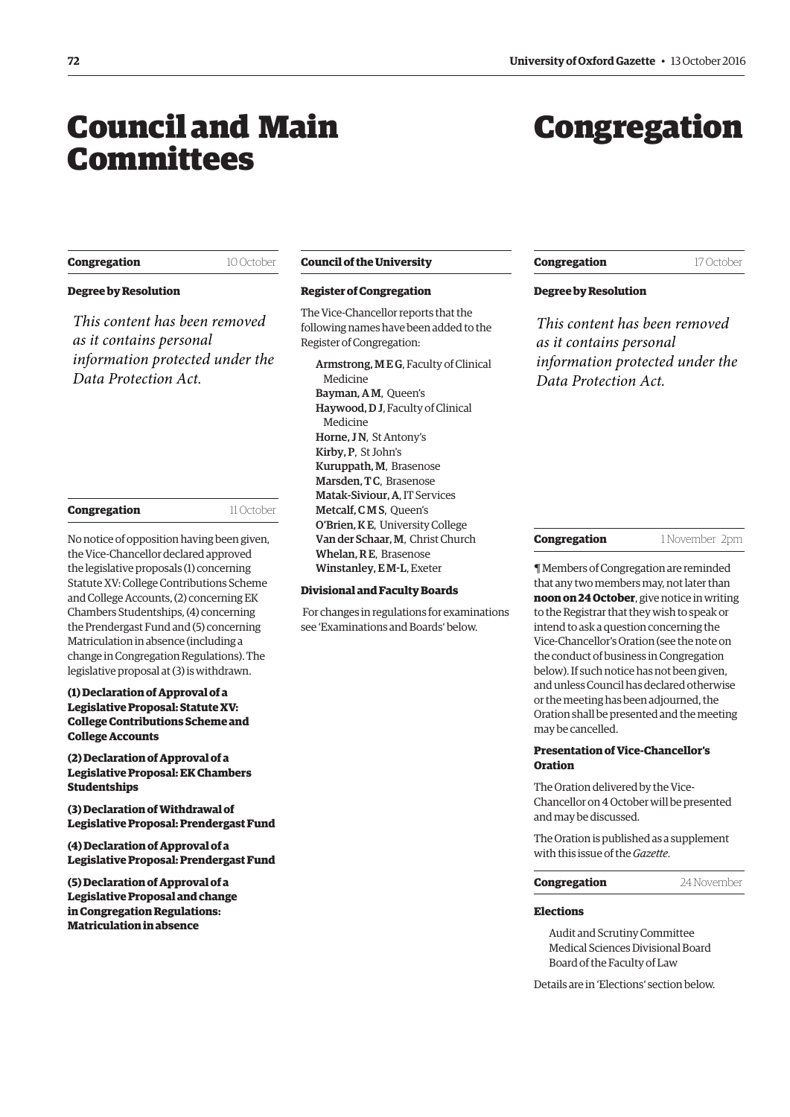### <span id="page-1-0"></span>Council and Main Committees

### Congregation

### **Congregation** 10 October

### **Degree by Resolution**

*This content has been removed as it contains personal information protected under the Data Protection Act.*

| Congregation |  |
|--------------|--|
|              |  |

11 October

No notice of opposition having been given, the Vice-Chancellor declared approved the legislative proposals (1) concerning Statute XV: College Contributions Scheme and College Accounts, (2) concerning EK Chambers Studentships, (4) concerning the Prendergast Fund and (5) concerning Matriculation in absence (including a change in Congregation Regulations). The legislative proposal at (3) is withdrawn.

### **(1) Declaration of Approval of a Legislative Proposal: Statute XV: College Contributions Scheme and College Accounts**

**(2) Declaration of Approval of a Legislative Proposal: EK Chambers Studentships**

**(3) Declaration of Withdrawal of Legislative Proposal: Prendergast Fund**

**(4) Declaration of Approval of a Legislative Proposal: Prendergast Fund**

**(5) Declaration of Approval of a Legislative Proposal and change in Congregation Regulations: Matriculation in absence**

### **Council of the University**

### **Register of Congregation**

The Vice-Chancellor reports that the following names have been added to the Register of Congregation:

Armstrong, M E G, Faculty of Clinical Medicine Bayman, A M, Queen's Haywood, D J, Faculty of Clinical Medicine Horne, JN, St Antony's Kirby, P, St John's Kuruppath, M, Brasenose Marsden, TC, Brasenose Matak-Siviour, A, IT Services Metcalf, CMS, Queen's O'Brien, K E, University College Van der Schaar, M, Christ Church Whelan, R E, Brasenose Winstanley, E M-L, Exeter

### **Divisional and Faculty Boards**

 For changes in regulations for examinations see ['Examinations and Boards'](#page-3-0) below.

### **Congregation** 17 October

### **Degree by Resolution**

*This content has been removed as it contains personal information protected under the Data Protection Act.*

#### **Congregation** 1 November 2pm

¶ Members of Congregation are reminded that any two members may, not later than **noon on 24 October**, give notice in writing to the Registrar that they wish to speak or intend to ask a question concerning the Vice-Chancellor's Oration (see the note on the conduct of business in Congregation below). If such notice has not been given, and unless Council has declared otherwise or the meeting has been adjourned, the Oration shall be presented and the meeting may be cancelled.

### **Presentation of Vice-Chancellor's Oration**

The Oration delivered by the Vice-Chancellor on 4 October will be presented and may be discussed.

The Oration is published as a supplement with this issue of the *Gazette*.

**Congregation** 24 November

#### **Elections**

Audit and Scrutiny Committee Medical Sciences Divisional Board Board of the Faculty of Law

Details are in ['Elections'](#page-3-0) section below.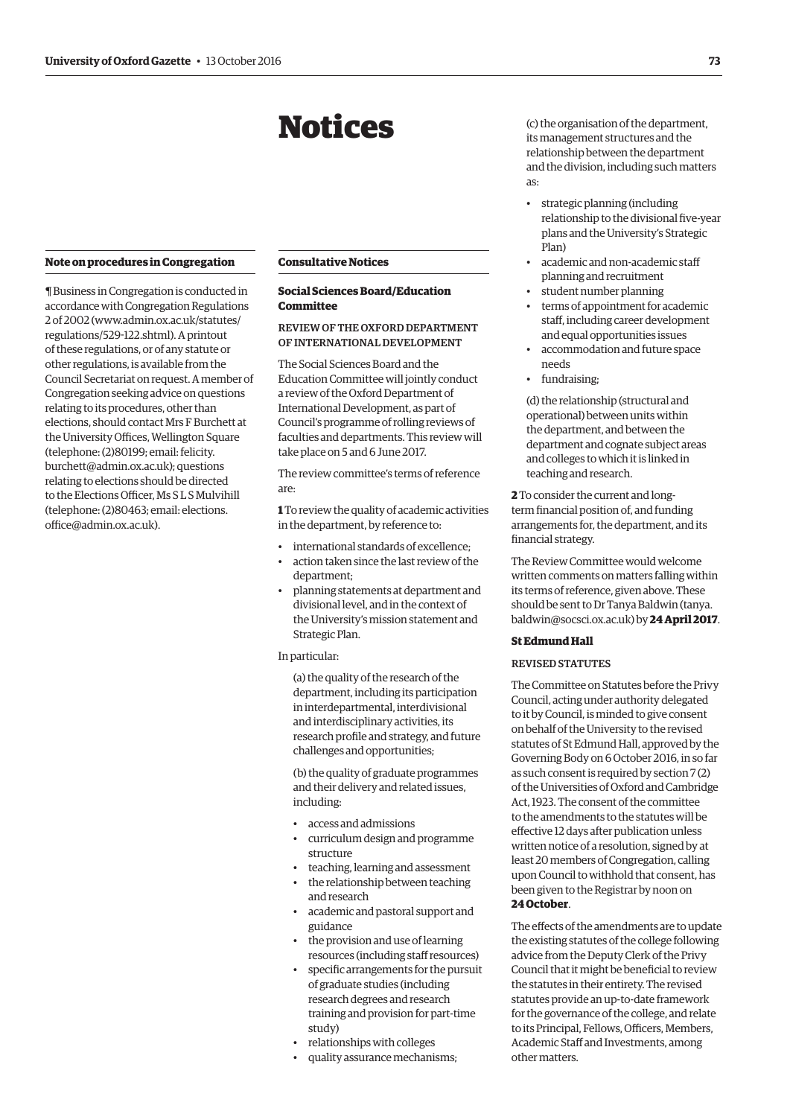### Notices

#### <span id="page-2-0"></span>**Note on procedures in Congregation**

¶ Business in Congregation is conducted in accordance with Congregation Regulations 2 of 2002 [\(www.admin.ox.ac.uk/statutes/](http://www.admin.ox.ac.uk/statutes/regulations/529-122.shtml) [regulations/529-122.shtml\). A](http://www.admin.ox.ac.uk/statutes/regulations/529-122.shtml) printout of these regulations, or of any statute or other regulations, is available from the Council Secretariat on request. A member of Congregation seeking advice on questions relating to its procedures, other than elections, should contact Mrs F Burchett at the University Offices, Wellington Square (telephone: (2)80199; email: felicity. [burchett@admin.ox.ac.uk\); questions](mailto:felicity.burchett@admin.ox.ac.uk)  relating to elections should be directed to the Elections Officer, Ms S L S Mulvihill [\(telephone: \(2\)80463; email: elections.](mailto:elections.office@admin.ox.ac.uk) office@admin.ox.ac.uk).

### **Consultative Notices**

### **Social Sciences Board/Education Committee**

### REVIEW OF THE OXFORD DEPARTMENT OF INTERNATIONAL DEVELOPMENT

The Social Sciences Board and the Education Committee will jointly conduct a review of the Oxford Department of International Development, as part of Council's programme of rolling reviews of faculties and departments. This review will take place on 5 and 6 June 2017.

The review committee's terms of reference are:

**1** To review the quality of academic activities in the department, by reference to:

- international standards of excellence;
- action taken since the last review of the department;
- planning statements at department and divisional level, and in the context of the University's mission statement and Strategic Plan.

In particular:

(a) the quality of the research of the department, including its participation in interdepartmental, interdivisional and interdisciplinary activities, its research profile and strategy, and future challenges and opportunities;

(b) the quality of graduate programmes and their delivery and related issues, including:

- access and admissions
- curriculum design and programme structure
- teaching, learning and assessment
- the relationship between teaching and research
- academic and pastoral support and guidance
- the provision and use of learning resources (including staff resources)
- specific arrangements for the pursuit of graduate studies (including research degrees and research training and provision for part-time study)
- relationships with colleges
- quality assurance mechanisms;

(c) the organisation of the department, its management structures and the relationship between the department and the division, including such matters as:

- strategic planning (including relationship to the divisional five-year plans and the University's Strategic Plan)
- academic and non-academic staff planning and recruitment
- student number planning
- terms of appointment for academic staff, including career development and equal opportunities issues
- accommodation and future space needs
- fundraising;

(d) the relationship (structural and operational) between units within the department, and between the department and cognate subject areas and colleges to which it is linked in teaching and research.

**2** To consider the current and longterm financial position of, and funding arrangements for, the department, and its financial strategy.

The Review Committee would welcome written comments on matters falling within its terms of reference, given above. These [should be sent to Dr Tanya Baldwin \(tanya.](mailto:tanya.baldwin@socsci.ox.ac.uk) baldwin@socsci.ox.ac.uk) by **24 April 2017**.

### **St Edmund Hall**

### REVISED STATUTES

The Committee on Statutes before the Privy Council, acting under authority delegated to it by Council, is minded to give consent on behalf of the University to the revised statutes of St Edmund Hall, approved by the Governing Body on 6 October 2016, in so far as such consent is required by section 7 (2) of the Universities of Oxford and Cambridge Act, 1923. The consent of the committee to the amendments to the statutes will be effective 12 days after publication unless written notice of a resolution, signed by at least 20 members of Congregation, calling upon Council to withhold that consent, has been given to the Registrar by noon on **24 October**.

The effects of the amendments are to update the existing statutes of the college following advice from the Deputy Clerk of the Privy Council that it might be beneficial to review the statutes in their entirety. The revised statutes provide an up-to-date framework for the governance of the college, and relate to its Principal, Fellows, Officers, Members, Academic Staff and Investments, among other matters.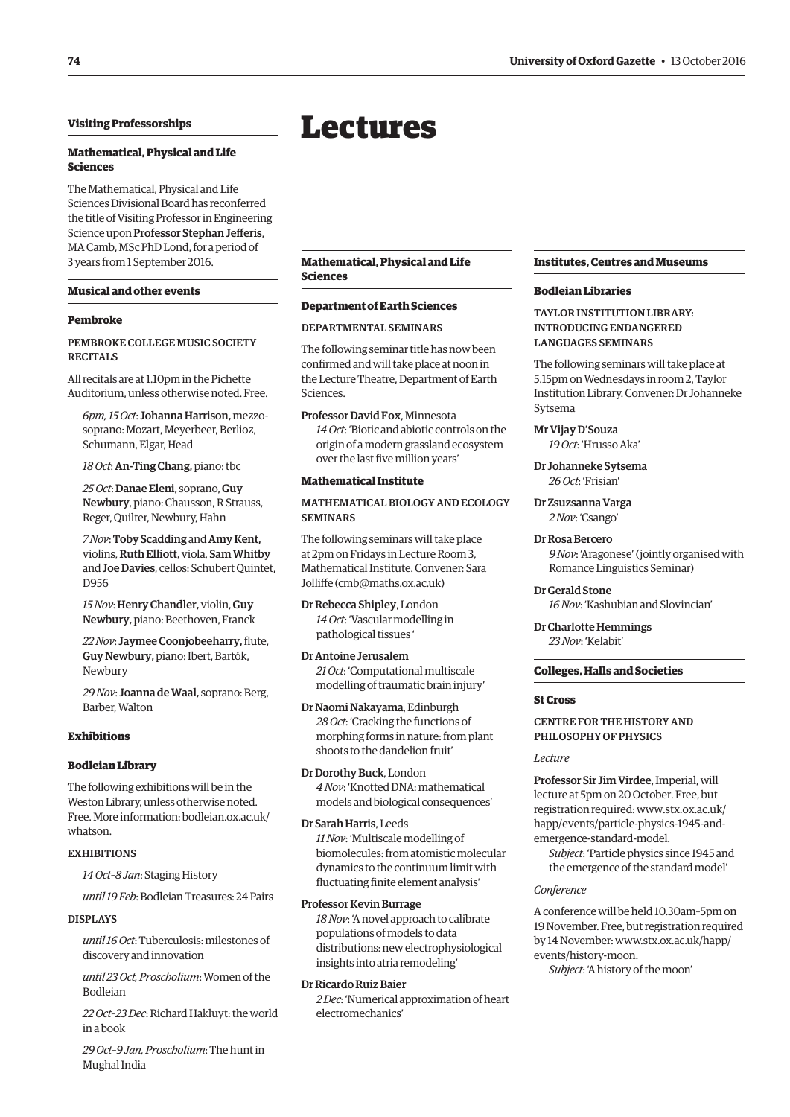### <span id="page-3-0"></span>**Visiting Professorships**

### **Mathematical, Physical and Life Sciences**

The Mathematical, Physical and Life Sciences Divisional Board has reconferred the title of Visiting Professor in Engineering Science upon Professor Stephan Jefferis, MA Camb, MSc PhD Lond, for a period of 3 years from 1 September 2016.

### **Musical and other events**

### **Pembroke**

### PEMBROKE COLLEGE MUSIC SOCIETY **RECITALS**

All recitals are at 1.10pm in the Pichette Auditorium, unless otherwise noted. Free.

*6pm, 15 Oct*: Johanna Harrison, mezzosoprano: Mozart, Meyerbeer, Berlioz, Schumann, Elgar, Head

*18 Oct*: An-Ting Chang, piano: tbc

*25 Oct*: Danae Eleni, soprano, Guy Newbury, piano: Chausson, R Strauss, Reger, Quilter, Newbury, Hahn

*7 Nov*: Toby Scadding and Amy Kent, violins, Ruth Elliott, viola, Sam Whitby and Joe Davies, cellos: Schubert Quintet, D956

*15 Nov*:Henry Chandler, violin, Guy Newbury, piano: Beethoven, Franck

*22 Nov*: Jaymee Coonjobeeharry, flute, Guy Newbury, piano: Ibert, Bartók, Newbury

*29 Nov*: Joanna de Waal, soprano: Berg, Barber, Walton

### **Exhibitions**

### **Bodleian Library**

The following exhibitions will be in the Weston Library, unless otherwise noted. Free. More information: bodleian.ox.ac.uk/ whatson.

### **EXHIBITIONS**

*14 Oct–8 Jan*: Staging History

*until 19 Feb*: Bodleian Treasures: 24 Pairs

### DISPLAYS

*until 16 Oct*: Tuberculosis: milestones of discovery and innovation

*until 23 Oct, Proscholium*: Women of the Bodleian

*22 Oct–23 Dec*: Richard Hakluyt: the world in a book

*29 Oct–9 Jan, Proscholium*: The hunt in Mughal India

### Lectures

**Mathematical, Physical and Life Sciences**

### **Department of Earth Sciences**

### DEPARTMENTAL SEMINARS

The following seminar title has now been confirmed and will take place at noon in the Lecture Theatre, Department of Earth Sciences.

Professor David Fox, Minnesota *14 Oct*: 'Biotic and abiotic controls on the origin of a modern grassland ecosystem over the last five million years'

### **Mathematical Institute**

### MATHEMATICAL BIOLOGY AND ECOLOGY SEMINARS

The following seminars will take place at 2pm on Fridays in Lecture Room 3, Mathematical Institute. Convener: Sara Jolliffe [\(cmb@maths.ox.ac.uk\)](mailto:cmb@maths.ox.ac.uk)

Dr Rebecca Shipley, London *14 Oct*: 'Vascular modelling in pathological tissues '

Dr Antoine Jerusalem *21 Oct*: 'Computational multiscale modelling of traumatic brain injury'

Dr Naomi Nakayama, Edinburgh *28 Oct*: 'Cracking the functions of morphing forms in nature: from plant shoots to the dandelion fruit'

Dr Dorothy Buck, London *4 Nov*: 'Knotted DNA: mathematical models and biological consequences'

Dr Sarah Harris, Leeds *11 Nov*: 'Multiscale modelling of biomolecules: from atomistic molecular

dynamics to the continuum limit with fluctuating finite element analysis'

### Professor Kevin Burrage

*18 Nov*: 'A novel approach to calibrate populations of models to data distributions: new electrophysiological insights into atria remodeling'

### Dr Ricardo Ruiz Baier

*2 Dec*: 'Numerical approximation of heart electromechanics'

### **Institutes, Centres and Museums**

### **Bodleian Libraries**

TAYLOR INSTITUTION LIBRARY: INTRODUCING ENDANGERED LANGUAGES SEMINARS

The following seminars will take place at 5.15pm on Wednesdays in room 2, Taylor Institution Library. Convener: Dr Johanneke Sytsema

### Mr Vijay D'Souza

*19 Oct*: 'Hrusso Aka'

Dr Johanneke Sytsema *26 Oct*: 'Frisian'

Dr Zsuzsanna Varga *2 Nov*: 'Csango'

### Dr Rosa Bercero

*9 Nov*: 'Aragonese' (jointly organised with Romance Linguistics Seminar)

Dr Gerald Stone *16 Nov*: 'Kashubian and Slovincian'

Dr Charlotte Hemmings *23 Nov*: 'Kelabit'

### **Colleges, Halls and Societies**

### **St Cross**

### CENTRE FOR THE HISTORY AND PHILOSOPHY OF PHYSICS

#### *Lecture*

Professor Sir Jim Virdee, Imperial, will lecture at 5pm on 20 October. Free, but [registration required: www.stx.ox.ac.uk/](www.stx.ox.ac.uk/happ/events/particle-physics-1954-and-emergence-standard-model) happ/events/particle-physics-1945-andemergence-standard-model.

*Subject*: 'Particle physics since 1945 and the emergence of the standard model'

### *Conference*

A conference will be held 10.30am–5pm on 19 November. Free, but registration required [by 14 November: www.stx.ox.ac.uk/happ/](www.stx.ox.ac.uk/happ/events/history-moon) events/history-moon.

*Subject*: 'A history of the moon'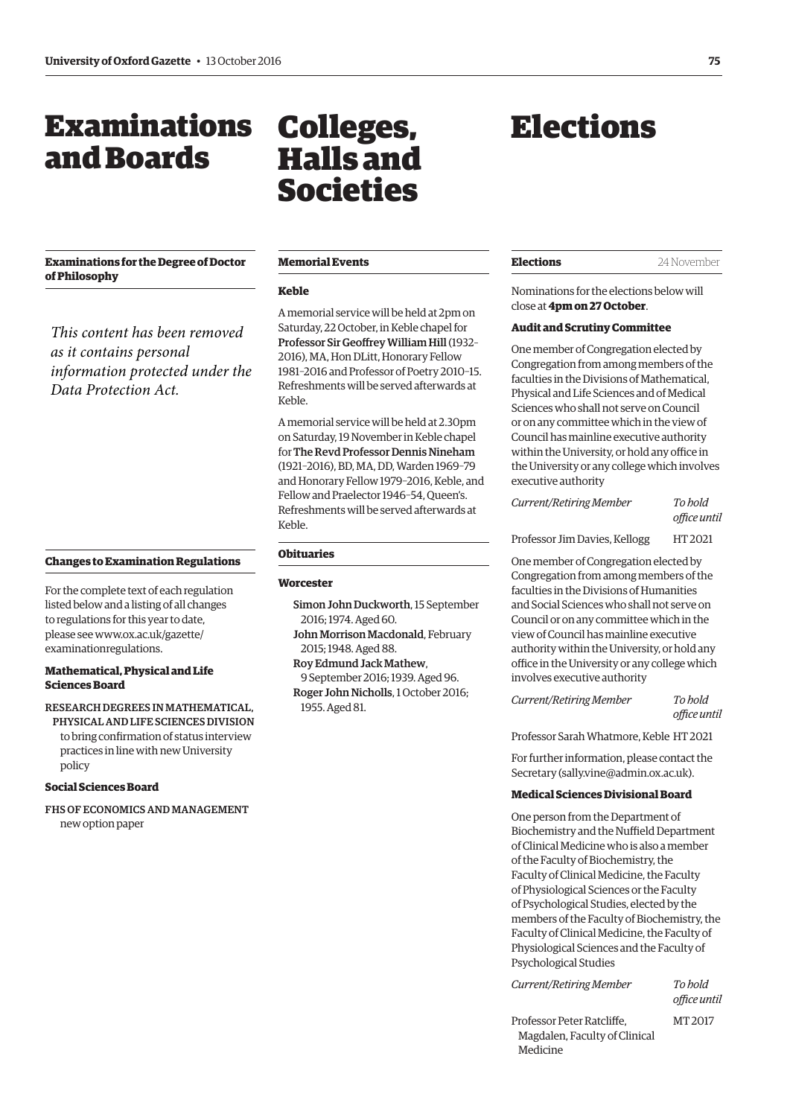### <span id="page-4-0"></span>Examinations and Boards

### **Examinations for the Degree of Doctor of Philosophy**

*This content has been removed as it contains personal information protected under the Data Protection Act.*

### **Changes to Examination Regulations**

For the complete text of each regulation listed below and a listing of all changes to regulations for this year to date, [please see www.ox.ac.uk/gazette/](www.ox.ac.uk/gazette/examinationregulations) examinationregulations.

### **Mathematical, Physical and Life Sciences Board**

RESEARCH DEGREES IN MATHEMATICAL, PHYSICAL AND LIFE SCIENCES DIVISION to bring confirmation of status interview practices in line with new University policy

### **Social Sciences Board**

FHS OF ECONOMICS AND MANAGEMENT new option paper

### Colleges, Halls and Societies

### **Memorial Events**

### **Keble**

A memorial service will be held at 2pm on Saturday, 22 October, in Keble chapel for Professor Sir Geoffrey William Hill (1932– 2016), MA, Hon DLitt, Honorary Fellow 1981–2016 and Professor of Poetry 2010–15. Refreshments will be served afterwards at Keble.

A memorial service will be held at 2.30pm on Saturday, 19 November in Keble chapel for The Revd Professor Dennis Nineham (1921–2016), BD, MA, DD, Warden 1969–79 and Honorary Fellow 1979–2016, Keble, and Fellow and Praelector 1946–54, Queen's. Refreshments will be served afterwards at Keble.

### **Obituaries**

#### **Worcester**

- Simon John Duckworth, 15 September 2016; 1974. Aged 60.
- John Morrison Macdonald, February 2015; 1948. Aged 88.
- Roy Edmund Jack Mathew,
- 9 September 2016; 1939. Aged 96. Roger John Nicholls, 1 October 2016; 1955. Aged 81.

### Elections

**Elections** 24 November

Nominations for the elections below will close at **4pm on 27 October**.

### **Audit and Scrutiny Committee**

One member of Congregation elected by Congregation from among members of the faculties in the Divisions of Mathematical, Physical and Life Sciences and of Medical Sciences who shall not serve on Council or on any committee which in the view of Council has mainline executive authority within the University, or hold any office in the University or any college which involves executive authority

*Current/Retiring Member To hold office until* 

Professor Jim Davies, Kellogg HT 2021

One member of Congregation elected by Congregation from among members of the faculties in the Divisions of Humanities and Social Sciences who shall not serve on Council or on any committee which in the view of Council has mainline executive authority within the University, or hold any office in the University or any college which involves executive authority

*Current/Retiring Member To hold office until* 

Professor Sarah Whatmore, Keble HT 2021

For further information, please contact the Secretary ([sally.vine@admin.ox.ac.uk\).](mailto:sally.vine@admin.ox.ac.uk)

### **Medical Sciences Divisional Board**

One person from the Department of Biochemistry and the Nuffield Department of Clinical Medicine who is also a member of the Faculty of Biochemistry, the Faculty of Clinical Medicine, the Faculty of Physiological Sciences or the Faculty of Psychological Studies, elected by the members of the Faculty of Biochemistry, the Faculty of Clinical Medicine, the Faculty of Physiological Sciences and the Faculty of Psychological Studies

*Current/Retiring Member To hold* 

*office until* 

Professor Peter Ratcliffe, MT 2017 Magdalen, Faculty of Clinical Medicine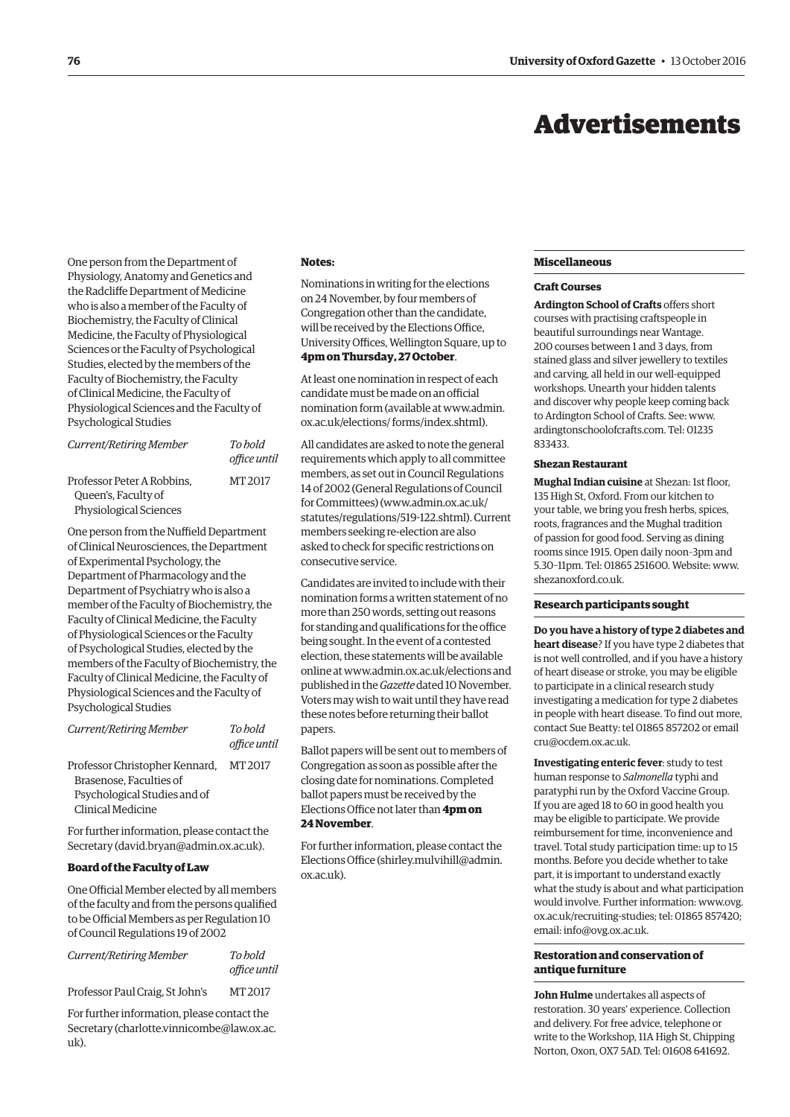### Advertisements

<span id="page-5-0"></span>One person from the Department of Physiology, Anatomy and Genetics and the Radcliffe Department of Medicine who is also a member of the Faculty of Biochemistry, the Faculty of Clinical Medicine, the Faculty of Physiological Sciences or the Faculty of Psychological Studies, elected by the members of the Faculty of Biochemistry, the Faculty of Clinical Medicine, the Faculty of Physiological Sciences and the Faculty of Psychological Studies

| Current/Retiring Member                                                            | To hold<br>office until |
|------------------------------------------------------------------------------------|-------------------------|
| Professor Peter A Robbins.<br>Queen's, Faculty of<br><b>Physiological Sciences</b> | MT 2017                 |

One person from the Nuffield Department of Clinical Neurosciences, the Department of Experimental Psychology, the Department of Pharmacology and the Department of Psychiatry who is also a member of the Faculty of Biochemistry, the Faculty of Clinical Medicine, the Faculty of Physiological Sciences or the Faculty of Psychological Studies, elected by the members of the Faculty of Biochemistry, the Faculty of Clinical Medicine, the Faculty of Physiological Sciences and the Faculty of Psychological Studies

| <b>Current/Retiring Member</b>                                                                                 | To hold<br>office until |
|----------------------------------------------------------------------------------------------------------------|-------------------------|
| Professor Christopher Kennard,<br>Brasenose. Faculties of<br>Psychological Studies and of<br>Clinical Medicine | MT 2017                 |

For further information, please contact the Secretary [\(david.bryan@admin.ox.ac.uk\).](mailto:david.bryan@admin.ox.ac.uk)

### **Board of the Faculty of Law**

One Official Member elected by all members of the faculty and from the persons qualified to be Official Members as per Regulation 10 of Council Regulations 19 of 2002

| Current/Retiring Member         | To hold      |
|---------------------------------|--------------|
|                                 | office until |
| Professor Paul Craig, St John's | MT 2017      |

For further information, please contact the Secretary [\(charlotte.vinnicombe@law.ox.ac.](mailto:charlotte.vinnicombe@law.ox.ac.uk) [uk\).](mailto:charlotte.vinnicombe@law.ox.ac.uk)

#### **Notes:**

Nominations in writing for the elections on 24 November, by four members of Congregation other than the candidate, will be received by the Elections Office, University Offices, Wellington Square, up to **4pm on Thursday, 27 October**.

At least one nomination in respect of each candidate must be made on an official [nomination form \(available at www.admin.](www.admin.ox.ac.uk/elections/forms/index.shtml) ox.ac.uk/elections/ forms/index.shtml).

All candidates are asked to note the general requirements which apply to all committee members, as set out in Council Regulations 14 of 2002 (General Regulations of Council for Committees) [\(www.admin.ox.ac.uk/](http://www.admin.ox.ac.uk/statutes/regulations/519-122.shtml) [statutes/regulations/519-122.shtml\). Cu](http://www.admin.ox.ac.uk/statutes/regulations/519-122.shtml)rrent members seeking re-election are also asked to check for specific restrictions on consecutive service.

Candidates are invited to include with their nomination forms a written statement of no more than 250 words, setting out reasons for standing and qualifications for the office being sought. In the event of a contested election, these statements will be available online at [www.admin.ox.ac.uk/elections an](http://www.admin.ox.ac.uk/elections)d published in the *Gazette* dated 10 November. Voters may wish to wait until they have read these notes before returning their ballot papers.

Ballot papers will be sent out to members of Congregation as soon as possible after the closing date for nominations. Completed ballot papers must be received by the Elections Office not later than **4pm on 24 November**.

For further information, please contact the Elections Office ([shirley.mulvihill@admin.](mailto:shirley.mulvihill@admin.ox.ac.uk) [ox.ac.uk\).](mailto:shirley.mulvihill@admin.ox.ac.uk)

#### **Miscellaneous**

### **Craft Courses**

**Ardington School of Crafts** offers short courses with practising craftspeople in beautiful surroundings near Wantage. 200 courses between 1 and 3 days, from stained glass and silver jewellery to textiles and carving, all held in our well-equipped workshops. Unearth your hidden talents and discover why people keep coming back to Ardington School of Crafts. See: [www.](http://www.ardingtonschoolofcrafts.com) [ardingtonschoolofcrafts.com. Te](http://www.ardingtonschoolofcrafts.com)l: 01235 833433.

### **Shezan Restaurant**

**Mughal Indian cuisine** at Shezan: 1st floor, 135 High St, Oxford. From our kitchen to your table, we bring you fresh herbs, spices, roots, fragrances and the Mughal tradition of passion for good food. Serving as dining rooms since 1915. Open daily noon–3pm and 5.30–11pm. Tel: 01865 251600. Website: [www.](http://www.shezanoxford.co.uk) [shezanoxford.co.uk.](http://www.shezanoxford.co.uk)

### **Research participants sought**

**Do you have a history of type 2 diabetes and heart disease**? If you have type 2 diabetes that is not well controlled, and if you have a history of heart disease or stroke, you may be eligible to participate in a clinical research study investigating a medication for type 2 diabetes in people with heart disease. To find out more, contact Sue Beatty: tel 01865 857202 or email [cru@ocdem.ox.ac.uk.](mailto:cru@ocdem.ox.ac.uk)

**Investigating enteric fever**: study to test human response to *Salmonella* typhi and paratyphi run by the Oxford Vaccine Group. If you are aged 18 to 60 in good health you may be eligible to participate. We provide reimbursement for time, inconvenience and travel. Total study participation time: up to 15 months. Before you decide whether to take part, it is important to understand exactly what the study is about and what participation would involve. Further information: www.ovg. [ox.ac.uk/recruiting-studies; tel: 01865 857420;](www.ovg.ox.ac.uk/recruiting-studies)  email: [info@ovg.ox.ac.uk.](mailto:info@ovg.ox.ac.uk)

### **Restoration and conservation of antique furniture**

**John Hulme** undertakes all aspects of restoration. 30 years' experience. Collection and delivery. For free advice, telephone or write to the Workshop, 11A High St, Chipping Norton, Oxon, OX7 5AD. Tel: 01608 641692.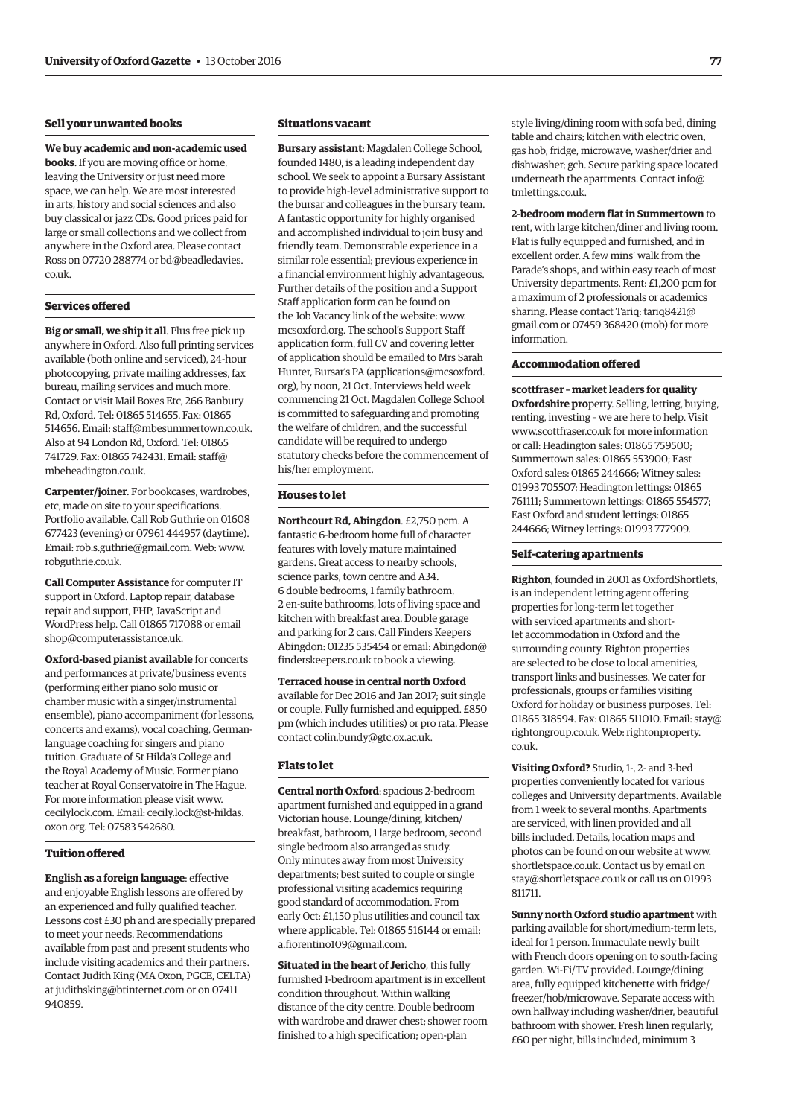### **Sell your unwanted books**

**We buy academic and non-academic used books**. If you are moving office or home, leaving the University or just need more space, we can help. We are most interested in arts, history and social sciences and also buy classical or jazz CDs. Good prices paid for large or small collections and we collect from anywhere in the Oxford area. Please contact [Ross on 07720 288774 or bd@beadledavies.](mailto:bd@beadledavies.co.uk) co.uk.

### **Services offered**

**Big or small, we ship it all**. Plus free pick up anywhere in Oxford. Also full printing services available (both online and serviced), 24-hour photocopying, private mailing addresses, fax bureau, mailing services and much more. Contact or visit Mail Boxes Etc, 266 Banbury Rd, Oxford. Tel: 01865 514655. Fax: 01865 514656. Email: [staff@mbesummertown.co.uk.](mailto:staff@mbesummertown.co.uk)  Also at 94 London Rd, Oxford. Tel: 01865 [741729. Fax: 01865 742431. Email: staff@](mailto:staff@mbeheadington.co.uk) mbeheadington.co.uk.

**Carpenter/joiner**. For bookcases, wardrobes, etc, made on site to your specifications. Portfolio available. Call Rob Guthrie on 01608 677423 (evening) or 07961 444957 (daytime). Email: [rob.s.guthrie@gmail.com. W](mailto:rob.s.guthrie@gmail.com)eb: [www.](http://www.robguthrie.co.uk) [robguthrie.co.uk.](http://www.robguthrie.co.uk)

**Call Computer Assistance** for computer IT support in Oxford. Laptop repair, database repair and support, PHP, JavaScript and WordPress help. Call 01865 717088 or email [shop@computerassistance.uk.](mailto:shop@computerassistance.uk)

**Oxford-based pianist available** for concerts and performances at private/business events (performing either piano solo music or chamber music with a singer/instrumental ensemble), piano accompaniment (for lessons, concerts and exams), vocal coaching, Germanlanguage coaching for singers and piano tuition. Graduate of St Hilda's College and the Royal Academy of Music. Former piano teacher at Royal Conservatoire in The Hague. For more information please visit [www.](http://www.cecilylock.com) [cecilylock.com. Em](http://www.cecilylock.com)[ail: cecily.lock@st-hildas.](mailto:cecily.lock@st-hildas.oxon.org) oxon.org. Tel: 07583 542680.

### **Tuition offered**

**English as a foreign language**: effective and enjoyable English lessons are offered by an experienced and fully qualified teacher. Lessons cost £30 ph and are specially prepared to meet your needs. Recommendations available from past and present students who include visiting academics and their partners. Contact Judith King (MA Oxon, PGCE, CELTA) at [judithsking@btinternet.com or](mailto:judithsking@btinternet.com) on 07411 940859.

### **Situations vacant**

**Bursary assistant**: Magdalen College School, founded 1480, is a leading independent day school. We seek to appoint a Bursary Assistant to provide high-level administrative support to the bursar and colleagues in the bursary team. A fantastic opportunity for highly organised and accomplished individual to join busy and friendly team. Demonstrable experience in a similar role essential; previous experience in a financial environment highly advantageous. Further details of the position and a Support Staff application form can be found on the Job Vacancy link of the website: [www.](http://www.mcsoxford.org) [mcsoxford.org. Th](http://www.mcsoxford.org)e school's Support Staff application form, full CV and covering letter of application should be emailed to Mrs Sarah Hunter, Bursar's PA ([applications@mcsoxford.](mailto:applications@mcsoxford.org) [org\), by](mailto:applications@mcsoxford.org) noon, 21 Oct. Interviews held week commencing 21 Oct. Magdalen College School is committed to safeguarding and promoting the welfare of children, and the successful candidate will be required to undergo statutory checks before the commencement of his/her employment.

### **Houses to let**

**Northcourt Rd, Abingdon**. £2,750 pcm. A fantastic 6-bedroom home full of character features with lovely mature maintained gardens. Great access to nearby schools, science parks, town centre and A34. 6 double bedrooms, 1 family bathroom, 2 en-suite bathrooms, lots of living space and kitchen with breakfast area. Double garage and parking for 2 cars. Call Finders Keepers [Abingdon: 01235 535454 or email: Abingdon@](mailto:abingdon@finderskeepers.co.uk) finderskeepers.co.uk to book a viewing.

**Terraced house in central north Oxford** available for Dec 2016 and Jan 2017; suit single or couple. Fully furnished and equipped. £850 pm (which includes utilities) or pro rata. Please contact [colin.bundy@gtc.ox.ac.uk.](mailto:colin.bundy@gtc.ox.ac.uk)

### **Flats to let**

**Central north Oxford**: spacious 2-bedroom apartment furnished and equipped in a grand Victorian house. Lounge/dining, kitchen/ breakfast, bathroom, 1 large bedroom, second single bedroom also arranged as study. Only minutes away from most University departments; best suited to couple or single professional visiting academics requiring good standard of accommodation. From early Oct: £1,150 plus utilities and council tax where applicable. Tel: 01865 516144 or email: [a.fiorentino109@gmail.com.](mailto:a.fiorentino109@gmail.com)

**Situated in the heart of Jericho**, this fully furnished 1-bedroom apartment is in excellent condition throughout. Within walking distance of the city centre. Double bedroom with wardrobe and drawer chest; shower room finished to a high specification; open-plan

style living/dining room with sofa bed, dining table and chairs; kitchen with electric oven, gas hob, fridge, microwave, washer/drier and dishwasher; gch. Secure parking space located [underneath the apartments. Contact info@](mailto:info@tmlettings.co.uk) tmlettings.co.uk.

**2-bedroom modern flat in Summertown** to rent, with large kitchen/diner and living room. Flat is fully equipped and furnished, and in excellent order. A few mins' walk from the Parade's shops, and within easy reach of most University departments. Rent: £1,200 pcm for a maximum of 2 professionals or academics sharing. Please contact Tariq: tariq8421@ [gmail.com or 07459 368420 \(mob\) for more](mailto:tariq8421@gmail.com)  information.

### **Accommodation offered**

**scottfraser – market leaders for quality Oxfordshire pro**perty. Selling, letting, buying, renting, investing – we are here to help. Visit [www.scottfraser.co.uk for](http://www.scottfraser.co.uk) more information or call: Headington sales: 01865 759500; Summertown sales: 01865 553900; East Oxford sales: 01865 244666; Witney sales: 01993 705507; Headington lettings: 01865 761111; Summertown lettings: 01865 554577; East Oxford and student lettings: 01865 244666; Witney lettings: 01993 777909.

### **Self-catering apartments**

**Righton**, founded in 2001 as OxfordShortlets, is an independent letting agent offering properties for long-term let together with serviced apartments and shortlet accommodation in Oxford and the surrounding county. Righton properties are selected to be close to local amenities, transport links and businesses. We cater for professionals, groups or families visiting Oxford for holiday or business purposes. Tel: 01865 318594. Fax: 01865 5[11010. Email: stay@](mailto:stay@rightongroup.co.uk) rightongroup.co.u[k. Web: rightonproperty.](http://www.rightonproperty.co.uk) co.uk.

**Visiting Oxford?** Studio, 1-, 2- and 3-bed properties conveniently located for various colleges and University departments. Available from 1 week to several months. Apartments are serviced, with linen provided and all bills included. Details, location maps and photos can be found on our website at [www.](http://www.shortletspace.co.uk) [shortletspace.co.uk. Co](http://www.shortletspace.co.uk)ntact us by email on [stay@shortletspace.co.uk or](mailto:stay@shortletspace.co.uk) call us on 01993 811711.

**Sunny north Oxford studio apartment** with parking available for short/medium-term lets, ideal for 1 person. Immaculate newly built with French doors opening on to south-facing garden. Wi-Fi/TV provided. Lounge/dining area, fully equipped kitchenette with fridge/ freezer/hob/microwave. Separate access with own hallway including washer/drier, beautiful bathroom with shower. Fresh linen regularly, £60 per night, bills included, minimum 3